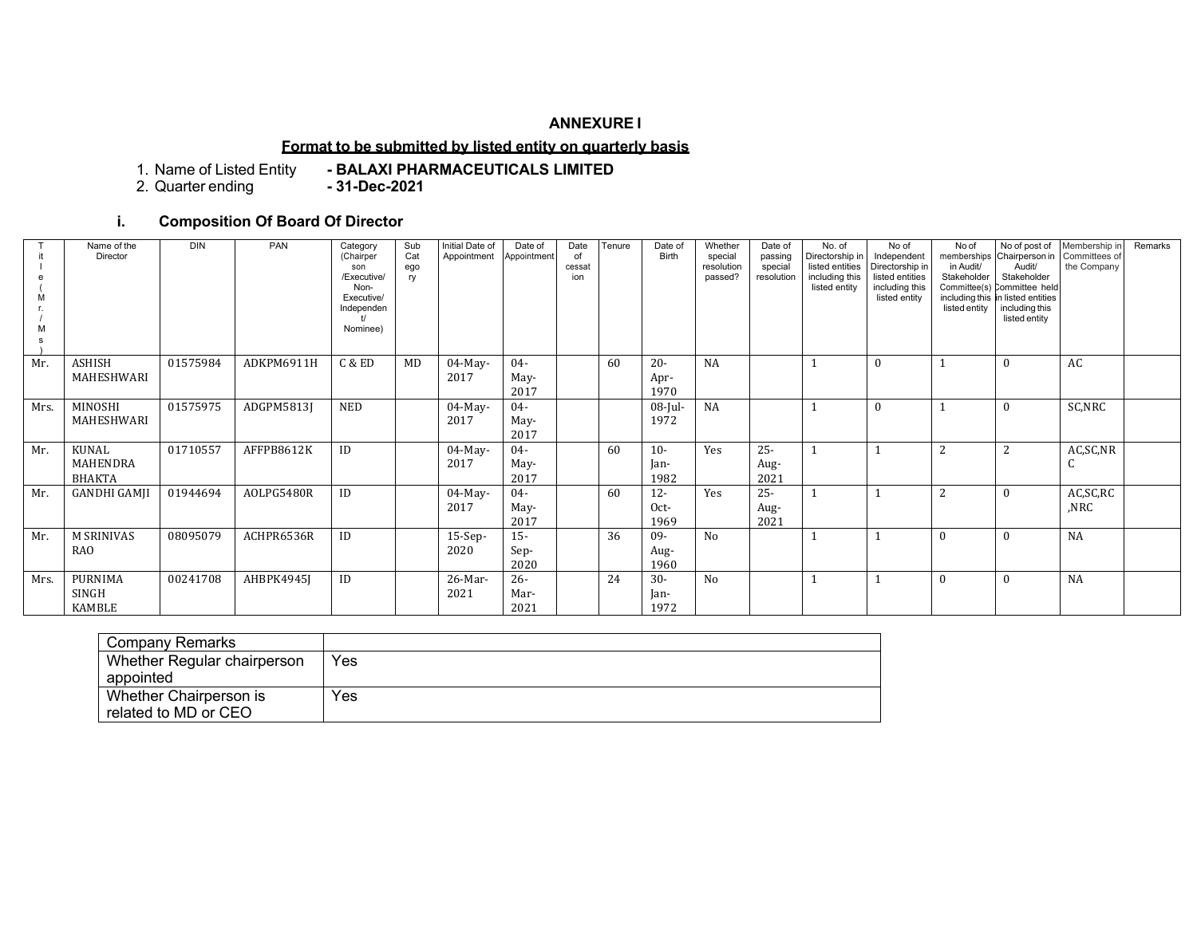# **ANNEXURE I**

## **Format to be submitted by listed entity on quarterly basis**

1. Name of Listed Entity **- BALAXI PHARMACEUTICALS LIMITED**

2. Quarter ending

# **i. Composition Of Board Of Director**

|      | Name of the<br>Director            | <b>DIN</b> | PAN        | Category<br>(Chairper<br>son<br>/Executive/<br>Non-<br>Executive/<br>Independen<br>Nominee) | Sub<br>Cat<br>ego<br>ry | Initial Date of<br>Appointment | Date of<br>Appointment | Date<br>of<br>cessat<br>ion | Tenure | Date of<br>Birth       | Whether<br>special<br>resolution<br>passed? | Date of<br>passing<br>special<br>resolution | No. of<br>Directorship in<br>listed entities<br>including this<br>listed entity | No of<br>Independent<br>Directorship in<br>listed entities<br>including this<br>listed entity | No of<br>in Audit/<br>Stakeholder<br>listed entity | No of post of<br>memberships Chairperson in Committees of<br>Audit/<br>Stakeholder<br>Committee(s) Committee held<br>including this in listed entities<br>including this<br>listed entity | Membership in<br>the Company | Remarks |
|------|------------------------------------|------------|------------|---------------------------------------------------------------------------------------------|-------------------------|--------------------------------|------------------------|-----------------------------|--------|------------------------|---------------------------------------------|---------------------------------------------|---------------------------------------------------------------------------------|-----------------------------------------------------------------------------------------------|----------------------------------------------------|-------------------------------------------------------------------------------------------------------------------------------------------------------------------------------------------|------------------------------|---------|
| Mr.  | <b>ASHISH</b><br>MAHESHWARI        | 01575984   | ADKPM6911H | C & ED                                                                                      | MD                      | $04$ -May-<br>2017             | $04 -$<br>May-<br>2017 |                             | 60     | $20 -$<br>Apr-<br>1970 | <b>NA</b>                                   |                                             |                                                                                 | $\theta$                                                                                      |                                                    | $\theta$                                                                                                                                                                                  | AC                           |         |
| Mrs. | MINOSHI<br>MAHESHWARI              | 01575975   | ADGPM5813J | <b>NED</b>                                                                                  |                         | $04$ -May-<br>2017             | $04 -$<br>May-<br>2017 |                             |        | $08$ -Jul-<br>1972     | <b>NA</b>                                   |                                             |                                                                                 | $\mathbf{0}$                                                                                  |                                                    | $\mathbf{0}$                                                                                                                                                                              | SC,NRC                       |         |
| Mr.  | KUNAL<br>MAHENDRA<br><b>BHAKTA</b> | 01710557   | AFFPB8612K | ID                                                                                          |                         | $04$ -May-<br>2017             | $04 -$<br>May-<br>2017 |                             | 60     | $10-$<br>Ian-<br>1982  | Yes                                         | $25 -$<br>Aug-<br>2021                      |                                                                                 |                                                                                               | 2                                                  | 2                                                                                                                                                                                         | AC,SC,NR<br>C                |         |
| Mr.  | <b>GANDHI GAMJI</b>                | 01944694   | AOLPG5480R | ID                                                                                          |                         | $04$ -May-<br>2017             | $04 -$<br>May-<br>2017 |                             | 60     | $12 -$<br>Oct-<br>1969 | Yes                                         | $25 -$<br>Aug-<br>2021                      |                                                                                 |                                                                                               | 2                                                  | $\theta$                                                                                                                                                                                  | AC,SC,RC<br>,NRC             |         |
| Mr.  | <b>M SRINIVAS</b><br><b>RAO</b>    | 08095079   | ACHPR6536R | ID                                                                                          |                         | $15-Sep-$<br>2020              | $15 -$<br>Sep-<br>2020 |                             | 36     | $09-$<br>Aug-<br>1960  | No                                          |                                             |                                                                                 |                                                                                               | $\Omega$                                           |                                                                                                                                                                                           | <b>NA</b>                    |         |
| Mrs. | PURNIMA<br>SINGH<br>KAMBLE         | 00241708   | AHBPK4945J | ID                                                                                          |                         | 26-Mar-<br>2021                | $26 -$<br>Mar-<br>2021 |                             | 24     | $30-$<br>Jan-<br>1972  | No                                          |                                             |                                                                                 |                                                                                               | $\theta$                                           | $\theta$                                                                                                                                                                                  | <b>NA</b>                    |         |

| Company Remarks             |     |
|-----------------------------|-----|
| Whether Regular chairperson | Yes |
| appointed                   |     |
| Whether Chairperson is      | Yes |
| related to MD or CEO        |     |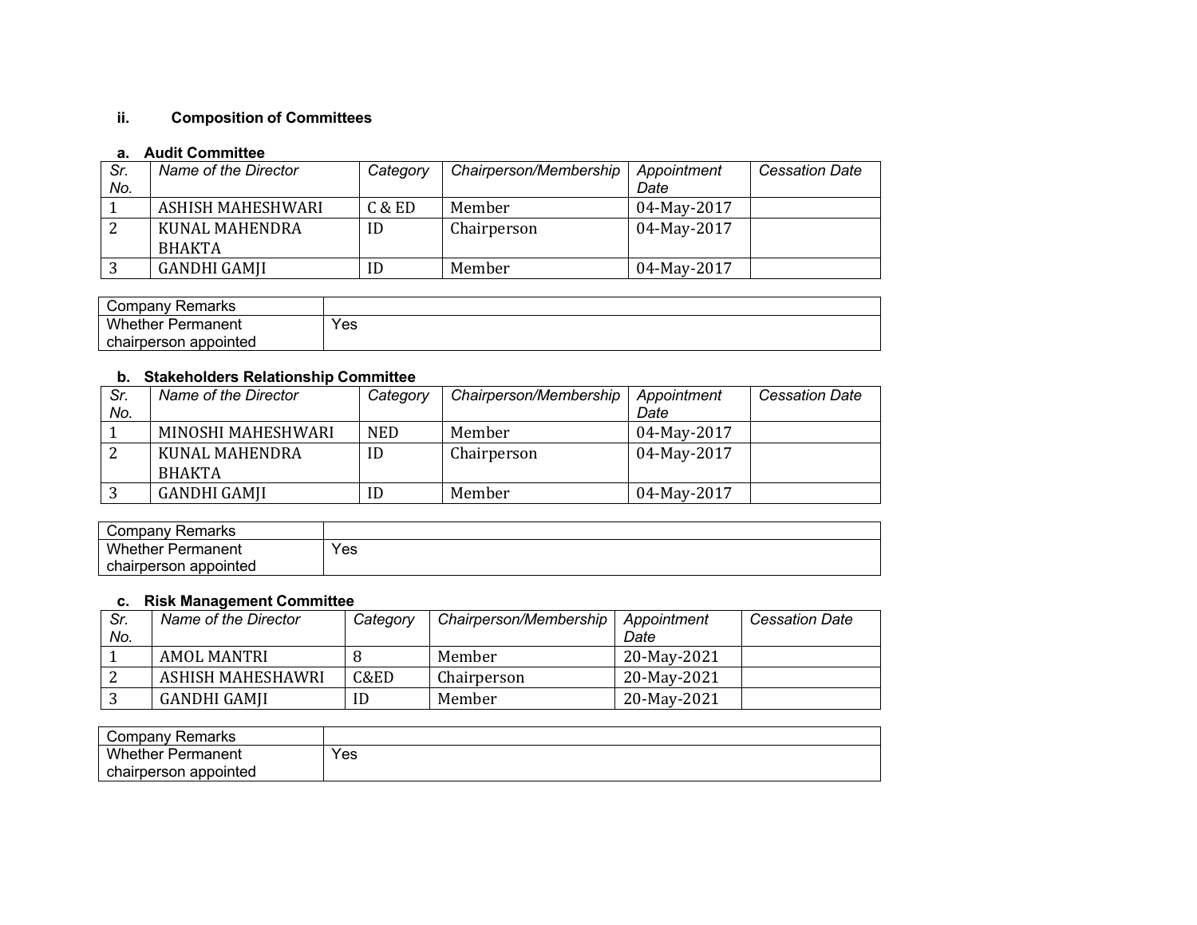# **ii. Composition of Committees**

## **a. Audit Committee**

| Sr. | Name of the Director | Category | Chairperson/Membership | Appointment | <b>Cessation Date</b> |
|-----|----------------------|----------|------------------------|-------------|-----------------------|
| No. |                      |          |                        | Date        |                       |
|     | ASHISH MAHESHWARI    | C & ED   | Member                 | 04-May-2017 |                       |
|     | KUNAL MAHENDRA       | ID       | Chairperson            | 04-May-2017 |                       |
|     | <b>BHAKTA</b>        |          |                        |             |                       |
|     | GANDHI GAMJI         | ID       | Member                 | 04-May-2017 |                       |

| Company<br>Remarks       |     |
|--------------------------|-----|
| <b>Whether Permanent</b> | Yes |
| chairperson appointed    |     |

### **b. Stakeholders Relationship Committee**

| Sr. | Name of the Director | Category   | Chairperson/Membership | Appointment | <b>Cessation Date</b> |
|-----|----------------------|------------|------------------------|-------------|-----------------------|
| No. |                      |            |                        | Date        |                       |
|     | MINOSHI MAHESHWARI   | <b>NED</b> | Member                 | 04-May-2017 |                       |
| ∠   | KUNAL MAHENDRA       | ID         | Chairperson            | 04-May-2017 |                       |
|     | <b>BHAKTA</b>        |            |                        |             |                       |
|     | <b>GANDHI GAMJI</b>  | ID         | Member                 | 04-May-2017 |                       |

| Company '<br>∵ Remarks   |     |
|--------------------------|-----|
| <b>Whether Permanent</b> | Yes |
| chairperson appointed    |     |

#### **c. Risk Management Committee**

| Sr.<br>No. | Name of the Director | Category | Chairperson/Membership | Appointment<br>Date | <b>Cessation Date</b> |
|------------|----------------------|----------|------------------------|---------------------|-----------------------|
|            |                      |          |                        |                     |                       |
|            | AMOL MANTRI          |          | Member                 | 20-May-2021         |                       |
|            | ASHISH MAHESHAWRI    | C&ED     | Chairperson            | 20-May-2021         |                       |
|            | GANDHI GAMJI         | ID       | Member                 | 20-May-2021         |                       |

| Company Remarks          |     |
|--------------------------|-----|
| <b>Whether Permanent</b> | Yes |
| chairperson appointed    |     |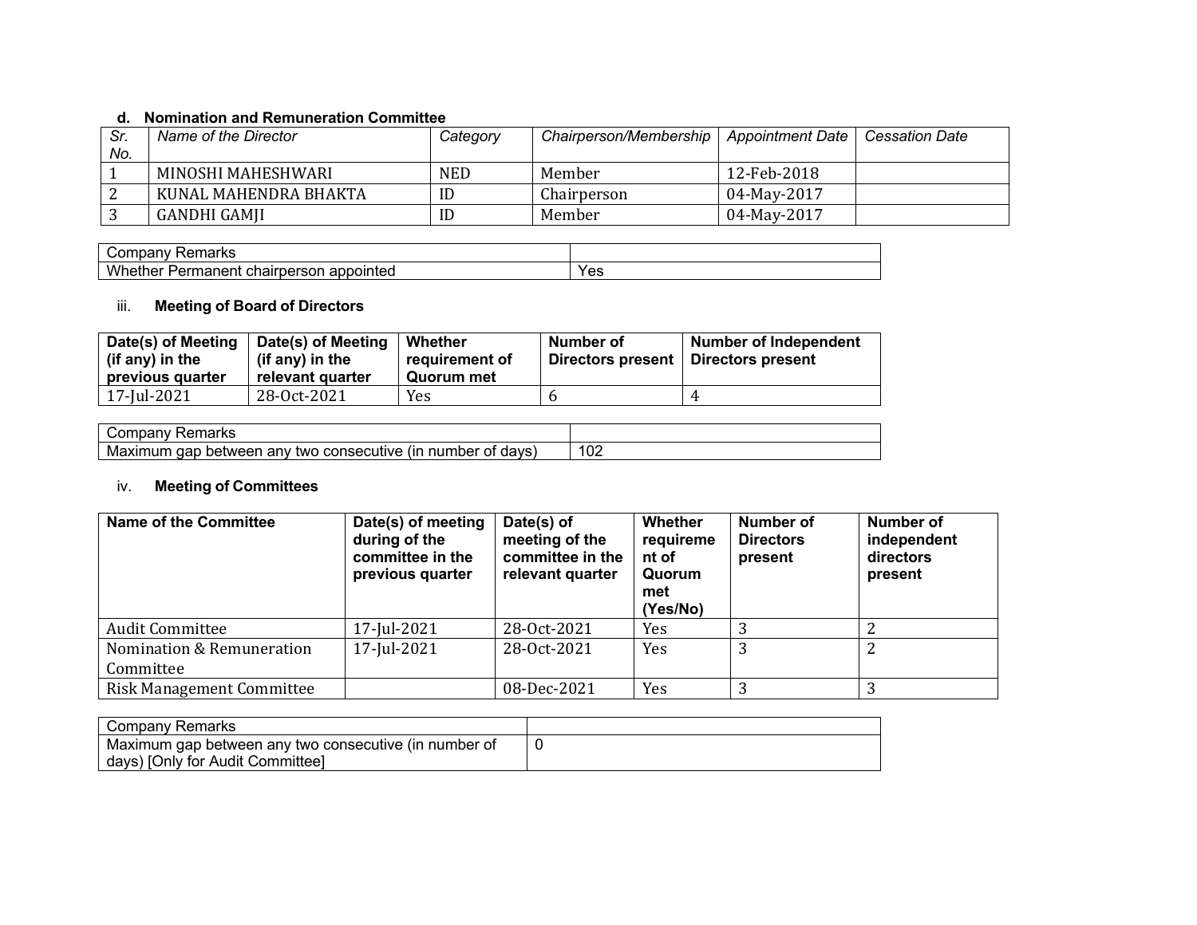## **d. Nomination and Remuneration Committee**

| Sr. | Name of the Director  | Category   | Chairperson/Membership   Appointment Date |             | Cessation Date |
|-----|-----------------------|------------|-------------------------------------------|-------------|----------------|
| No. |                       |            |                                           |             |                |
|     | MINOSHI MAHESHWARI    | <b>NED</b> | Member                                    | 12-Feb-2018 |                |
|     | KUNAL MAHENDRA BHAKTA | ID         | Chairperson                               | 04-May-2017 |                |
|     | GANDHI GAMJI          | ID         | Member                                    | 04-May-2017 |                |

| ⊀emarks<br>∴omr<br>.<br>Tibar<br>a IV<br>∼⊷.               |     |
|------------------------------------------------------------|-----|
| Whether<br>unairpersor<br>pointed<br>maneni<br>app<br>-ern | Yes |

# iii. **Meeting of Board of Directors**

| Date(s) of Meeting<br>(if any) in the<br>previous quarter | Date(s) of Meeting<br>(if any) in the<br>relevant quarter | Whether<br>requirement of<br>Quorum met | Number of<br>Directors present | <b>Number of Independent</b><br>Directors present |
|-----------------------------------------------------------|-----------------------------------------------------------|-----------------------------------------|--------------------------------|---------------------------------------------------|
| 17-Jul-2021                                               | 28-0ct-2021                                               | Yes                                     |                                |                                                   |

| morks<br>- -<br>ivai<br>Παι κε<br>Ē                                                        |               |
|--------------------------------------------------------------------------------------------|---------------|
| nar<br>number<br>davs<br>Οt<br>netween<br>an<br>twc<br>мг<br>conse<br>1 I F<br>nui<br>IXII | $\sim$<br>∃∪∠ |

# iv. **Meeting of Committees**

| <b>Name of the Committee</b>     | Date(s) of meeting<br>during of the<br>committee in the<br>previous quarter | Date(s) of<br>meeting of the<br>committee in the<br>relevant quarter | <b>Whether</b><br>requireme<br>nt of<br>Quorum<br>met<br>(Yes/No) | Number of<br><b>Directors</b><br>present | Number of<br>independent<br>directors<br>present |
|----------------------------------|-----------------------------------------------------------------------------|----------------------------------------------------------------------|-------------------------------------------------------------------|------------------------------------------|--------------------------------------------------|
| <b>Audit Committee</b>           | 17-Jul-2021                                                                 | 28-Oct-2021                                                          | Yes                                                               |                                          |                                                  |
| Nomination & Remuneration        | 17-Jul-2021                                                                 | 28-Oct-2021                                                          | Yes                                                               | 3                                        | ົາ                                               |
| Committee                        |                                                                             |                                                                      |                                                                   |                                          |                                                  |
| <b>Risk Management Committee</b> |                                                                             | 08-Dec-2021                                                          | Yes                                                               | 3                                        | ົ                                                |

| Company Remarks                                       |  |
|-------------------------------------------------------|--|
| Maximum gap between any two consecutive (in number of |  |
| days) [Only for Audit Committee]                      |  |